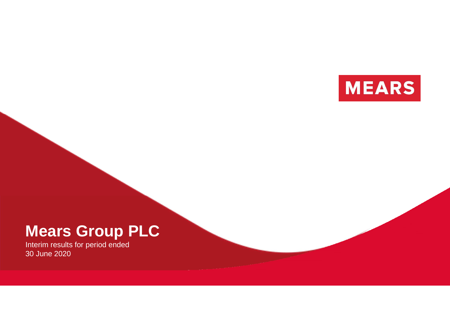

# **Mears Group PLC**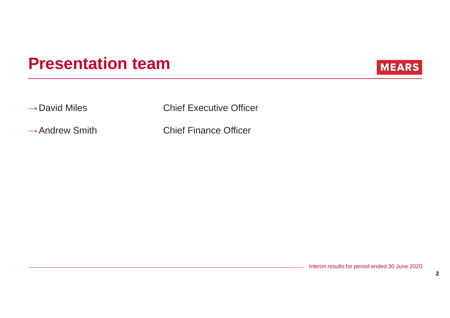# **Presentation team**



→David Miles Chief Executive Officer

→Andrew Smith Chief Finance Officer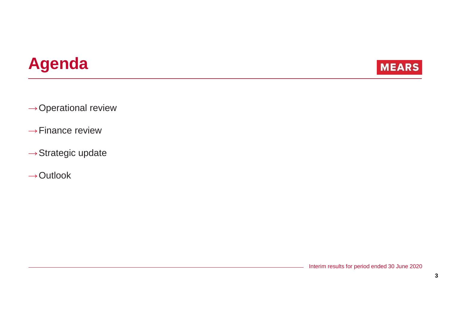# **Agenda**



 $\rightarrow$  Operational review

- $\rightarrow$ Finance review
- $\rightarrow$ Strategic update
- $\rightarrow$ Outlook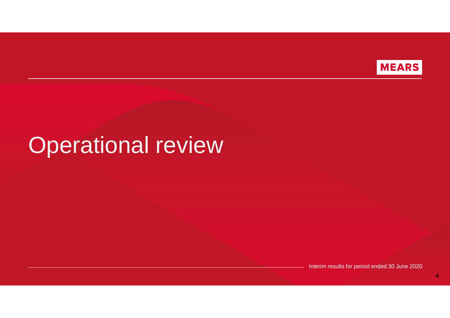

# Operational review

Interim results for period ended 30 June 2020

**4**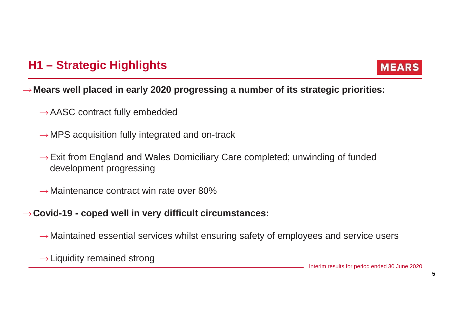# **H1 – Strategic Highlights**



## →**Mears well placed in early 2020 progressing a number of its strategic priorities:**

- $\rightarrow$  AASC contract fully embedded
- $\rightarrow$  MPS acquisition fully integrated and on-track
- $\rightarrow$  Exit from England and Wales Domiciliary Care completed; unwinding of funded development progressing
- $\rightarrow$  Maintenance contract win rate over 80%

### <sup>→</sup>**Covid-19 - coped well in very difficult circumstances:**

 $\rightarrow$  Maintained essential services whilst ensuring safety of employees and service users

 $\rightarrow$  Liquidity remained strong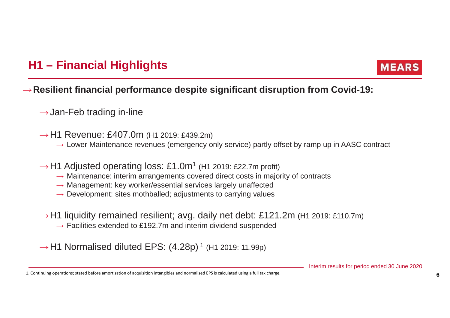# **H1 – Financial Highlights**



### →**Resilient financial performance despite significant disruption from Covid-19:**

- $\rightarrow$ Jan-Feb trading in-line
- $\rightarrow$  H1 Revenue: £407.0m (H1 2019: £439.2m)
	- $\rightarrow$  Lower Maintenance revenues (emergency only service) partly offset by ramp up in AASC contract
- $\rightarrow$  H1 Adjusted operating loss: £1.0m<sup>1</sup> (H1 2019: £22.7m profit)
	- → Maintenance: interim arrangements covered direct costs in majority of contracts<br>→ Management: key worker/essential services largely unaffected
	- → Management: key worker/essential services largely unaffected<br>→ Development: sites mothballed: adjustments to carrying values
	- $\rightarrow$  Development: sites mothballed; adjustments to carrying values
- $\rightarrow$  H1 liquidity remained resilient; avg. daily net debt: £121.2m (H1 2019: £110.7m)
	- $\rightarrow$  Facilities extended to £192.7m and interim dividend suspended

 $\rightarrow$  H1 Normalised diluted EPS: (4.28p)  $^1$  (H1 2019: 11.99p)

<sup>1.</sup> Continuing operations; stated before amortisation of acquisition intangibles and normalised EPS is calculated using a full tax charge. **6**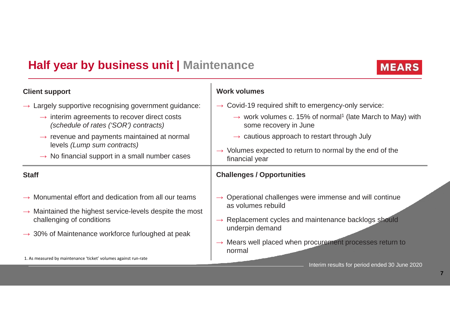# **Half year by business unit | Maintenance**



| <b>Client support</b>                                                                             | <b>Work volumes</b>                                                                                        |
|---------------------------------------------------------------------------------------------------|------------------------------------------------------------------------------------------------------------|
| Largely supportive recognising government guidance:                                               | $\rightarrow$ Covid-19 required shift to emergency-only service:                                           |
| $\rightarrow$ interim agreements to recover direct costs<br>(schedule of rates ('SOR') contracts) | $\rightarrow$ work volumes c. 15% of normal <sup>1</sup> (late March to May) with<br>some recovery in June |
| $\rightarrow$ revenue and payments maintained at normal                                           | $\rightarrow$ cautious approach to restart through July                                                    |
| levels (Lump sum contracts)                                                                       | $\rightarrow$ Volumes expected to return to normal by the end of the                                       |
| $\rightarrow$ No financial support in a small number cases                                        | financial year                                                                                             |
| <b>Staff</b>                                                                                      | <b>Challenges / Opportunities</b>                                                                          |
| $\rightarrow$ Monumental effort and dedication from all our teams                                 | $\rightarrow$ Operational challenges were immense and will continue                                        |
| $\rightarrow$ Maintained the highest service-levels despite the most                              | as volumes rebuild                                                                                         |
| challenging of conditions                                                                         | $\rightarrow$ Replacement cycles and maintenance backlogs should                                           |
| $\rightarrow$ 30% of Maintenance workforce furloughed at peak                                     | underpin demand                                                                                            |
|                                                                                                   | $\rightarrow$ Mears well placed when procurement processes return to<br>normal                             |
| 1. As measured by maintenance 'ticket' volumes against run-rate                                   | Interim results for period ended 30 June 2020                                                              |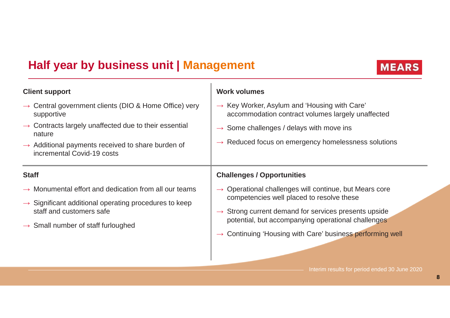# **Half year by business unit | Management**



**MEARS**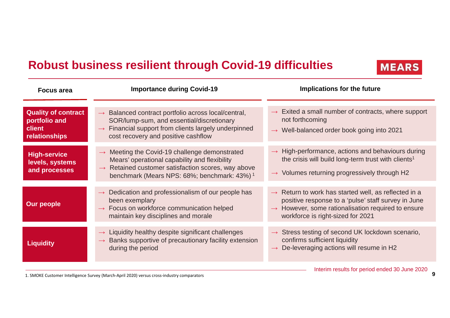# **Robust business resilient through Covid-19 difficulties**

| <b>Focus area</b>                                                      | <b>Importance during Covid-19</b>                                                                                                                                                                                                          | Implications for the future                                                                                                                                                                                                    |  |  |  |
|------------------------------------------------------------------------|--------------------------------------------------------------------------------------------------------------------------------------------------------------------------------------------------------------------------------------------|--------------------------------------------------------------------------------------------------------------------------------------------------------------------------------------------------------------------------------|--|--|--|
| <b>Quality of contract</b><br>portfolio and<br>client<br>relationships | $\rightarrow$ Balanced contract portfolio across local/central,<br>SOR/lump-sum, and essential/discretionary<br>$\rightarrow$ Financial support from clients largely underpinned<br>cost recovery and positive cashflow                    | $\rightarrow$ Exited a small number of contracts, where support<br>not forthcoming<br>$\rightarrow$ Well-balanced order book going into 2021                                                                                   |  |  |  |
| <b>High-service</b><br>levels, systems<br>and processes                | $\rightarrow$ Meeting the Covid-19 challenge demonstrated<br>Mears' operational capability and flexibility<br>Retained customer satisfaction scores, way above<br>$\rightarrow$<br>benchmark (Mears NPS: 68%; benchmark: 43%) <sup>1</sup> | $\rightarrow$ High-performance, actions and behaviours during<br>the crisis will build long-term trust with clients <sup>1</sup><br>$\rightarrow$ Volumes returning progressively through H2                                   |  |  |  |
| <b>Our people</b>                                                      | $\rightarrow$ Dedication and professionalism of our people has<br>been exemplary<br>$\rightarrow$ Focus on workforce communication helped<br>maintain key disciplines and morale                                                           | $\rightarrow$ Return to work has started well, as reflected in a<br>positive response to a 'pulse' staff survey in June<br>$\rightarrow$ However, some rationalisation required to ensure<br>workforce is right-sized for 2021 |  |  |  |
| <b>Liquidity</b>                                                       | $\rightarrow$ Liquidity healthy despite significant challenges<br>Banks supportive of precautionary facility extension<br>during the period                                                                                                | $\rightarrow$ Stress testing of second UK lockdown scenario,<br>confirms sufficient liquidity<br>$\rightarrow$ De-leveraging actions will resume in H2                                                                         |  |  |  |

1. SMOKE Customer Intelligence Survey (March-April 2020) versus cross-industry comparators

**MEARS**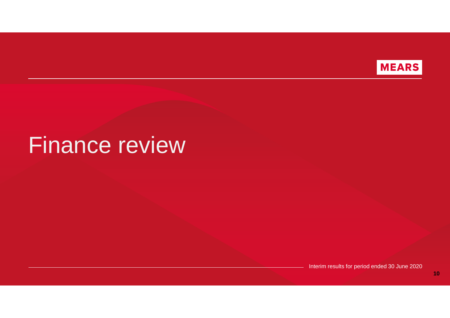

# Finance review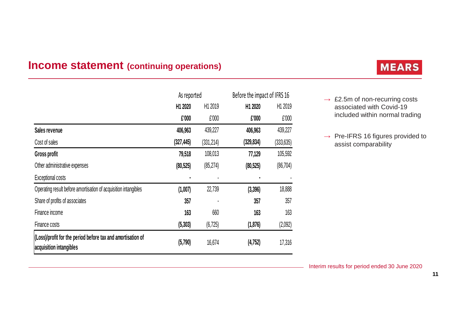### **Income statement (continuing operations)**

|                                                                                        | As reported         |            | Before the impact of IFRS 16 |            |
|----------------------------------------------------------------------------------------|---------------------|------------|------------------------------|------------|
|                                                                                        | H <sub>1</sub> 2020 | H1 2019    | H1 2020                      | H1 2019    |
|                                                                                        | £'000               | £'000      | £'000                        | £'000      |
| Sales revenue                                                                          | 406,963             | 439,227    | 406,963                      | 439,227    |
| Cost of sales                                                                          | (327, 445)          | (331, 214) | (329, 834)                   | (333, 635) |
| Gross profit                                                                           | 79,518              | 108,013    | 77,129                       | 105,592    |
| Other administrative expenses                                                          | (80, 525)           | (85, 274)  | (80, 525)                    | (86, 704)  |
| Exceptional costs                                                                      |                     |            |                              |            |
| Operating result before amortisation of acquisition intangibles                        | (1,007)             | 22,739     | (3,396)                      | 18,888     |
| Share of profits of associates                                                         | 357                 |            | 357                          | 357        |
| Finance income                                                                         | 163                 | 660        | 163                          | 163        |
| Finance costs                                                                          | (5, 303)            | (6, 725)   | (1, 876)                     | (2,092)    |
| (Loss)/profit for the period before tax and amortisation of<br>acquisition intangibles | (5,790)             | 16,674     | (4, 752)                     | 17,316     |

# **MEARS**

 $\rightarrow$  £2.5m of non-recurring costs<br>associated with Covid-19 associated with Covid-19 included within normal trading

 $\rightarrow$  Pre-IFRS 16 figures provided to assist comparability assist comparability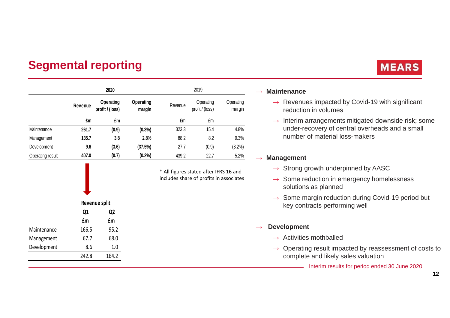# **Segmental reporting**

|                  | 2020                                                                  |       | 2019      |                              |                     |        |
|------------------|-----------------------------------------------------------------------|-------|-----------|------------------------------|---------------------|--------|
|                  | <b>Operating</b><br>Operating<br>Revenue<br>profit / (loss)<br>margin |       | Revenue   | Operating<br>profit / (loss) | Operating<br>margin |        |
|                  | £m                                                                    | £m    |           | £m                           | £m                  |        |
| Maintenance      | 261.7                                                                 | (0.9) | $(0.3\%)$ | 323.3                        | 15.4                | 4.8%   |
| Management       | 135.7                                                                 | 3.8   | 2.8%      | 88.2                         | 8.2                 | 9.3%   |
| Development      | 9.6                                                                   | (3.6) | (37.5%)   | 27.7                         | (0.9)               | (3.2%) |
| Operating result | 407.0                                                                 | (0.7) | (0.2%     | 439.2                        | 22.7                | 5.2%   |

\* All figures stated after IFRS 16 and includes share of profits in associates

|             | Revenue split |       |  |
|-------------|---------------|-------|--|
|             | Q1<br>Q2      |       |  |
|             | £m            | £m    |  |
| Maintenance | 166.5         | 95.2  |  |
| Management  | 67.7          | 68.0  |  |
| Development | 8.6           | 1.0   |  |
|             | 242.8         | 164.2 |  |

# **MEARS**

## → **Maintenance**

- $\rightarrow$  Revenues impacted by Covid-19 with significant<br>reduction in volumes reduction in volumes
- $\rightarrow$  Interim arrangements mitigated downside risk; some<br>under-recovery of central overheads and a small under-recovery of central overheads and a small number of material loss-makers

# → **Management**

- $\rightarrow$  Strong growth underpinned by AASC
- $\rightarrow$  Some reduction in emergency homelessness<br>solutions as planned solutions as planned
- $\rightarrow$  Some margin reduction during Covid-19 period but<br>key contracts performing well key contracts performing well

#### $\rightarrow$ **Development**

- $\rightarrow$  Activities mothballed
- $\rightarrow$  Operating result impacted by reassessment of costs to complete and likely sales valuation. complete and likely sales valuation
	- Interim results for period ended 30 June 2020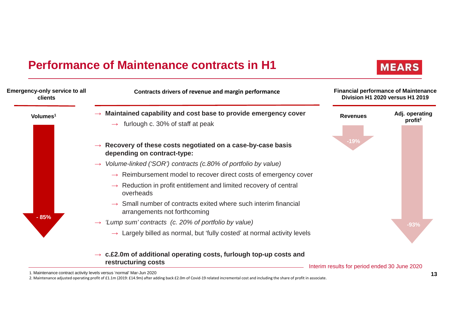# **Performance of Maintenance contracts in H1**





1. Maintenance contract activity levels versus 'normal' Mar-Jun 2020

2. Maintenance adjusted operating profit of £1.1m (2019: £14.9m) after adding back £2.0m of Covid-19 related incremental cost and including the share of profit in associate.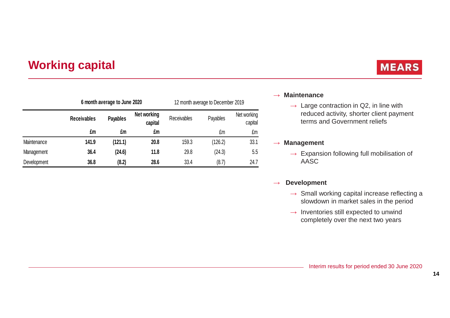# **Working capital**

# **MEARS**

|             | 6 month average to June 2020 |                                           | 12 month average to December 2019 |                    |          |                        |
|-------------|------------------------------|-------------------------------------------|-----------------------------------|--------------------|----------|------------------------|
|             | <b>Receivables</b>           | Net working<br><b>Payables</b><br>capital |                                   | <b>Receivables</b> | Payables | Net working<br>capital |
|             | £m                           | £m                                        | £m                                |                    | £m       | £m                     |
| Maintenance | 141.9                        | (121.1)                                   | 20.8                              | 159.3              | (126.2)  | 33.1                   |
| Management  | 36.4                         | (24.6)                                    | 11.8                              | 29.8               | (24.3)   | 5.5                    |
| Development | 36.8                         | (8.2)                                     | 28.6                              | 33.4               | (8.7)    | 24.7                   |

## → **Maintenance**

 $\rightarrow$  Large contraction in Q2, in line with reduced activity shorter client paym reduced activity, shorter client payment terms and Government reliefs

## → **Management**

 $\rightarrow$  Expansion following full mobilisation of  $\overline{\Delta}$ AASC

#### $\rightarrow$ **Development**

- $\rightarrow$  Small working capital increase reflecting a<br>slowdown in market sales in the period slowdown in market sales in the period
- $\rightarrow$  Inventories still expected to unwind<br>completely over the next two years completely over the next two years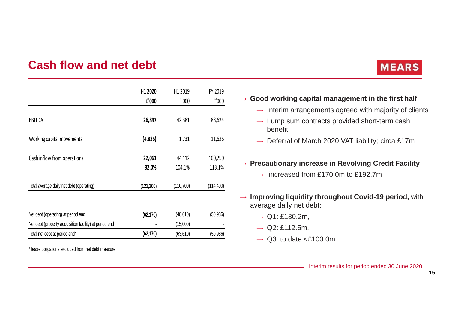# **Cash flow and net debt**

|                                                        | H1 2020    | H1 2019   | FY 2019    |
|--------------------------------------------------------|------------|-----------|------------|
|                                                        | £'000      | f'000     | f'000      |
| EBITDA                                                 | 26,897     | 42,381    | 88,624     |
| Working capital movements                              | (4,836)    | 1,731     | 11,626     |
| Cash inflow from operations                            | 22,061     | 44,112    | 100,250    |
|                                                        | 82.0%      | 104.1%    | 113.1%     |
| Total average daily net debt (operating)               | (121, 200) | (110,700) | (114, 400) |
| Net debt (operating) at period end                     | (62, 170)  | (48, 610) | (50, 986)  |
| Net debt (property acquisition facility) at period end |            | (15,000)  |            |
| Total net debt at period end*                          | (62, 170)  | (63, 610) | (50, 986)  |

\* lease obligations excluded from net debt measure

# **MEARS**

- → **Good working capital management in the first half**
	- $\rightarrow$  Interim arrangements agreed with majority of clients
	- $\rightarrow$  Lump sum contracts provided short-term cash<br>benefit benefit
	- $\rightarrow$  Deferral of March 2020 VAT liability; circa £17m

# → **Precautionary increase in Revolving Credit Facility**

- $\rightarrow$  increased from £170.0m to £192.7m
- → **Improving liquidity throughout Covid-19 period,** with average daily net debt: average daily net debt:
	- $\rightarrow$  Q1: £130.2m,
	- $\rightarrow$  Q2: £112.5m,
	- $\rightarrow$  Q3: to date <£100.0m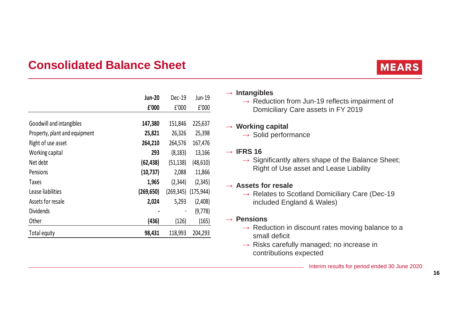## **Consolidated Balance Sheet**

|                               | <b>Jun-20</b> | Dec-19     | Jun-19     |
|-------------------------------|---------------|------------|------------|
|                               | £'000         | f'000      | f'000      |
|                               |               |            |            |
| Goodwill and intangibles      | 147,380       | 151,846    | 225,637    |
| Property, plant and equipment | 25,821        | 26,326     | 25,398     |
| Right of use asset            | 264,210       | 264,576    | 167,476    |
| Working capital               | 293           | (8, 183)   | 13,166     |
| Net debt                      | (62, 438)     | (51, 138)  | (48, 610)  |
| Pensions                      | (10, 737)     | 2,088      | 11,866     |
| <b>Taxes</b>                  | 1,965         | (2,344)    | (2, 345)   |
| Lease liabilities             | (269, 650)    | (269, 345) | (175, 944) |
| Assets for resale             | 2,024         | 5,293      | (2,408)    |
| <b>Dividends</b>              |               |            | (9,778)    |
| Other                         | (436)         | (126)      | (165)      |
| Total equity                  | 98,431        | 118,993    | 204,293    |

# **MEARS**

# → **Intangibles**

 $\rightarrow$  Reduction from Jun-19 reflects impairment of<br>Domiciliary Care assets in EV 2019 Domiciliary Care assets in FY 2019

# → **Working capital**

 $\rightarrow$  Solid performance

# → **IFRS 16**

 $\rightarrow$  Significantly alters shape of the Balance Sheet;<br>Right of Use asset and Lease Liability Right of Use asset and Lease Liability

# → **Assets for resale**

 $\rightarrow$  Relates to Scotland Domiciliary Care (Dec-19)<br>included England & Wales) included England & Wales)

# → **Pensions**

- $\rightarrow$  Reduction in discount rates moving balance to a small deficit small deficit
- $\rightarrow$  Risks carefully managed; no increase in<br>contributions expected contributions expected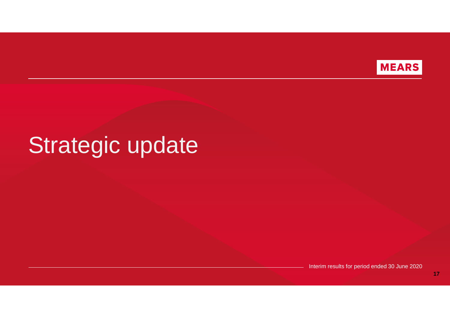

# Strategic update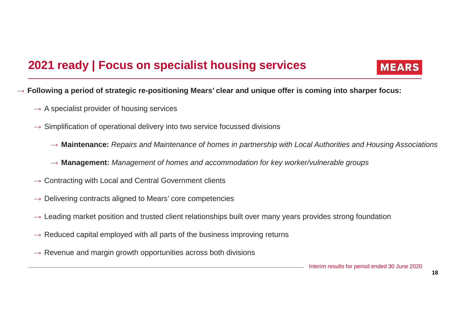# **2021 ready | Focus on specialist housing services**



 $\rightarrow$  Following a period of strategic re-positioning Mears' clear and unique offer is coming into sharper focus:<br>.

- $\rightarrow$  A specialist provider of housing services
- $\rightarrow$  Simplification of operational delivery into two service focussed divisions
	- → **Maintenance:** Repairs and Maintenance of homes in partnership with Local Authorities and Housing Associations
	- → **Management:** Management of homes and accommodation for key worker/vulnerable groups
- $\rightarrow$  Contracting with Local and Central Government clients
- $\rightarrow$  Delivering contracts aligned to Mears' core competencies
- $\rightarrow$  Leading market position and trusted client relationships built over many years provides strong foundation
- $\rightarrow$  Reduced capital employed with all parts of the business improving returns
- $\rightarrow$  Revenue and margin growth opportunities across both divisions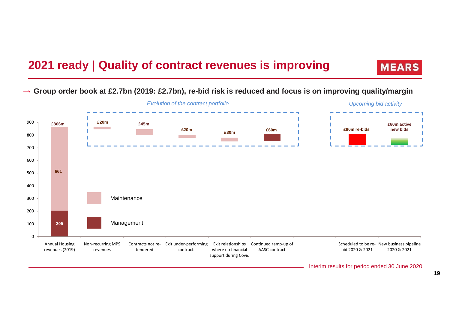# **2021 ready | Quality of contract revenues is improving**

**MEARS** 

→ **Group order book at £2.7bn (2019: £2.7bn), re-bid risk is reduced and focus is on improving quality/margin**

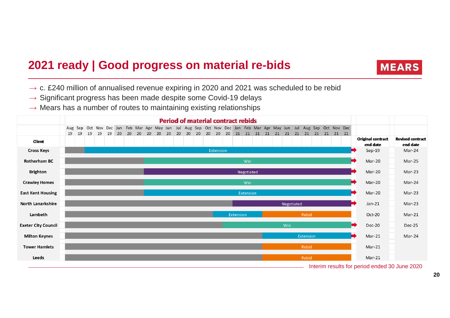# **2021 ready | Good progress on material re-bids**



- $\rightarrow$  c. £240 million of annualised revenue expiring in 2020 and 2021 was scheduled to be rebid<br>Significant progress has been made despite some Covid 19 delays
- → Significant progress has been made despite some Covid-19 delays<br>→ Mears has a number of routes to maintaining existing relationships
- $\rightarrow$  Mears has a number of routes to maintaining existing relationships

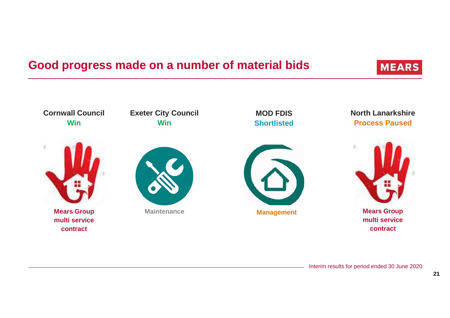# **Good progress made on a number of material bids**

**Exeter City Council**

**Cornwall Council** 

 $\mathbb{R}$ 

**North Lanarkshire**

**MEARS** 

**WinMears Group multi service contract Process PausedMears Group multi service contract ManagementShortlistedMaintenanceWin**

**MOD FDIS**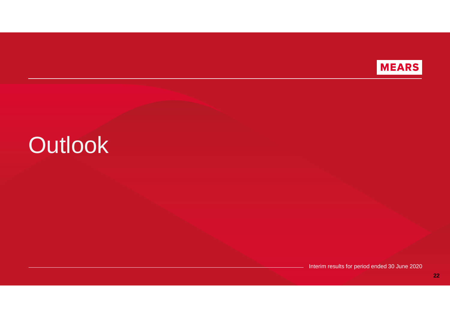

# **Outlook**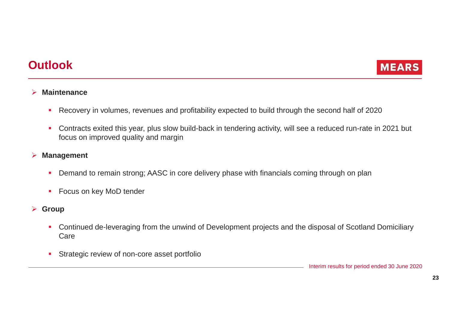# **Outlook**



#### $\blacktriangleright$ **Maintenance**

- -Recovery in volumes, revenues and profitability expected to build through the second half of 2020
- - Contracts exited this year, plus slow build-back in tendering activity, will see a reduced run-rate in 2021 but focus on improved quality and margin

#### $\blacktriangleright$ **Management**

- -Demand to remain strong; AASC in core delivery phase with financials coming through on plan
- -Focus on key MoD tender
- **Group**
	- Continued de-leveraging from the unwind of Development projects and the disposal of Scotland Domiciliary Care
	- -Strategic review of non-core asset portfolio